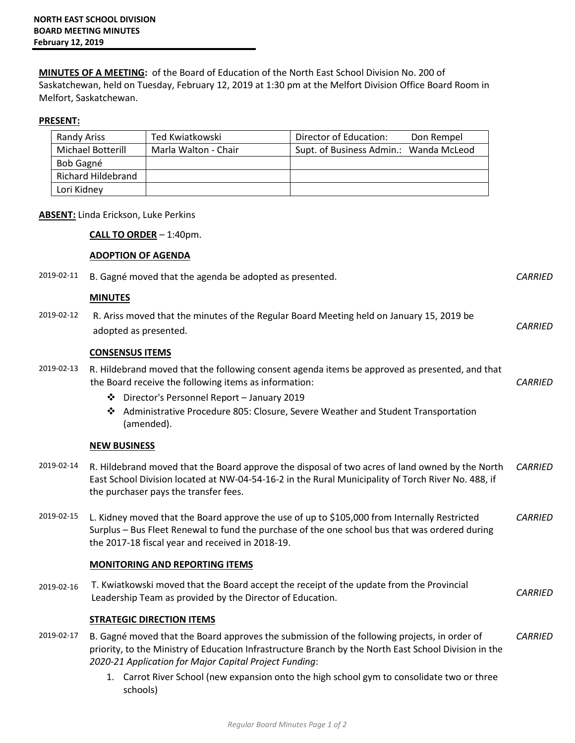**MINUTES OF A MEETING:** of the Board of Education of the North East School Division No. 200 of Saskatchewan, held on Tuesday, February 12, 2019 at 1:30 pm at the Melfort Division Office Board Room in Melfort, Saskatchewan.

## **PRESENT:**

| Randy Ariss               | Ted Kwiatkowski      | Director of Education:<br>Don Rempel   |
|---------------------------|----------------------|----------------------------------------|
| Michael Botterill         | Marla Walton - Chair | Supt. of Business Admin.: Wanda McLeod |
| Bob Gagné                 |                      |                                        |
| <b>Richard Hildebrand</b> |                      |                                        |
| Lori Kidney               |                      |                                        |

## **ABSENT:** Linda Erickson, Luke Perkins

**CALL TO ORDER** – 1:40pm.

## **ADOPTION OF AGENDA**

| 2019-02-11 | B. Gagné moved that the agenda be adopted as presented.                                                                                                                                                                                                         |                |
|------------|-----------------------------------------------------------------------------------------------------------------------------------------------------------------------------------------------------------------------------------------------------------------|----------------|
|            | <b>MINUTES</b>                                                                                                                                                                                                                                                  |                |
| 2019-02-12 | R. Ariss moved that the minutes of the Regular Board Meeting held on January 15, 2019 be<br>adopted as presented.                                                                                                                                               | <b>CARRIED</b> |
|            | <b>CONSENSUS ITEMS</b>                                                                                                                                                                                                                                          |                |
| 2019-02-13 | R. Hildebrand moved that the following consent agenda items be approved as presented, and that<br>the Board receive the following items as information:                                                                                                         | <b>CARRIED</b> |
|            | Director's Personnel Report - January 2019<br>❖                                                                                                                                                                                                                 |                |
|            | ❖ Administrative Procedure 805: Closure, Severe Weather and Student Transportation<br>(amended).                                                                                                                                                                |                |
|            | <b>NEW BUSINESS</b>                                                                                                                                                                                                                                             |                |
| 2019-02-14 | R. Hildebrand moved that the Board approve the disposal of two acres of land owned by the North<br>East School Division located at NW-04-54-16-2 in the Rural Municipality of Torch River No. 488, if<br>the purchaser pays the transfer fees.                  | <b>CARRIED</b> |
| 2019-02-15 | L. Kidney moved that the Board approve the use of up to \$105,000 from Internally Restricted<br>Surplus - Bus Fleet Renewal to fund the purchase of the one school bus that was ordered during<br>the 2017-18 fiscal year and received in 2018-19.              | <b>CARRIED</b> |
|            | <b>MONITORING AND REPORTING ITEMS</b>                                                                                                                                                                                                                           |                |
| 2019-02-16 | T. Kwiatkowski moved that the Board accept the receipt of the update from the Provincial<br>Leadership Team as provided by the Director of Education.                                                                                                           | <b>CARRIED</b> |
|            | <b>STRATEGIC DIRECTION ITEMS</b>                                                                                                                                                                                                                                |                |
| 2019-02-17 | B. Gagné moved that the Board approves the submission of the following projects, in order of<br>priority, to the Ministry of Education Infrastructure Branch by the North East School Division in the<br>2020-21 Application for Major Capital Project Funding: | <b>CARRIED</b> |
|            | 1. Carrot River School (new expansion onto the high school gym to consolidate two or three<br>schools)                                                                                                                                                          |                |